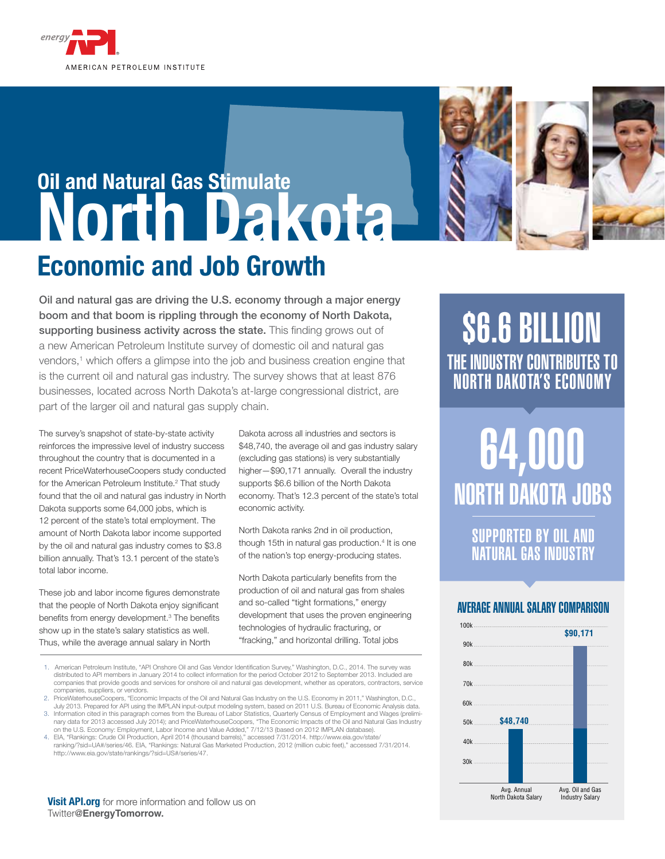

## **Oil and Natural Gas Stimulate North Dakota Economic and Job Growth**





Oil and natural gas are driving the U.S. economy through a major energy boom and that boom is rippling through the economy of North Dakota, supporting business activity across the state. This finding grows out of a new American Petroleum Institute survey of domestic oil and natural gas vendors,<sup>1</sup> which offers a glimpse into the job and business creation engine that is the current oil and natural gas industry. The survey shows that at least 876 businesses, located across North Dakota's at-large congressional district, are part of the larger oil and natural gas supply chain.

The survey's snapshot of state-by-state activity reinforces the impressive level of industry success throughout the country that is documented in a recent PriceWaterhouseCoopers study conducted for the American Petroleum Institute.<sup>2</sup> That study found that the oil and natural gas industry in North Dakota supports some 64,000 jobs, which is 12 percent of the state's total employment. The amount of North Dakota labor income supported by the oil and natural gas industry comes to \$3.8 billion annually. That's 13.1 percent of the state's total labor income.

These job and labor income figures demonstrate that the people of North Dakota enjoy significant benefits from energy development.3 The benefits show up in the state's salary statistics as well. Thus, while the average annual salary in North

Dakota across all industries and sectors is \$48,740, the average oil and gas industry salary (excluding gas stations) is very substantially higher—\$90,171 annually. Overall the industry supports \$6.6 billion of the North Dakota economy. That's 12.3 percent of the state's total economic activity.

North Dakota ranks 2nd in oil production, though 15th in natural gas production.<sup>4</sup> It is one of the nation's top energy-producing states.

North Dakota particularly benefits from the production of oil and natural gas from shales and so-called "tight formations," energy development that uses the proven engineering technologies of hydraulic fracturing, or "fracking," and horizontal drilling. Total jobs

- 1. American Petroleum Institute, "API Onshore Oil and Gas Vendor Identification Survey," Washington, D.C., 2014. The survey was distributed to API members in January 2014 to collect information for the period October 2012 to September 2013. Included are companies that provide goods and services for onshore oil and natural gas development, whether as operators, contractors, service companies, suppliers, or vendors.
- 2. PriceWaterhouseCoopers, "Economic Impacts of the Oil and Natural Gas Industry on the U.S. Economy in 2011," Washington, D.C.,
- July 2013. Prepared for API using the IMPLAN input-output modeling system, based on 2011 U.S. Bureau of Economic Analysis data. 3. Information cited in this paragraph comes from the Bureau of Labor Statistics, Quarterly Census of Employment and Wages (preliminary data for 2013 accessed July 2014); and PriceWaterhouseCoopers, "The Economic Impacts of the Oil and Natural Gas Industry
- on the U.S. Economy: Employment, Labor Income and Value Added," 7/12/13 (based on 2012 IMPLAN database). 4. EIA, "Rankings: Crude Oil Production, April 2014 (thousand barrels)," accessed 7/31/2014. http://www.eia.gov/state/
- ranking/?sid=UA#/series/46. EIA, "Rankings: Natural Gas Marketed Production, 2012 (million cubic feet)," accessed 7/31/2014. http://www.eia.gov/state/rankings/?sid=US#/series/47.

**Visit API.org** for more information and follow us on Twitter@**EnergyTomorrow.**

## \$6.6 BILLION THE INDUSTRY CONTRIBUTES TO North Dakota'S ECONOMY

# 64,000 **NORTH DAKOTA JOBS**

supported by oil and natural gas industry

#### AVERAGE ANNUAL SALARY COMPARISON

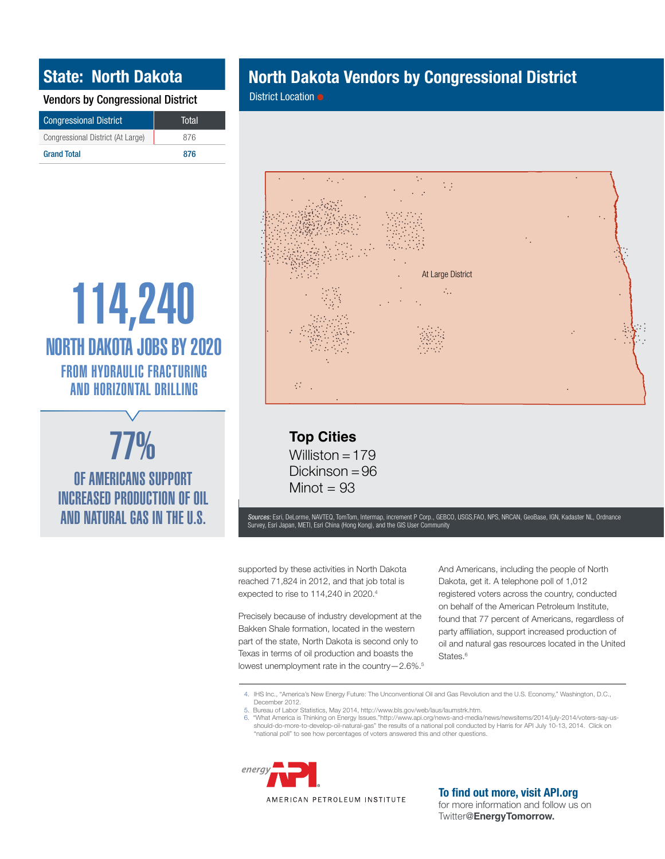### **State: North Dakota**

Vendors by Congressional District

| <b>Congressional District</b>     | Total |
|-----------------------------------|-------|
| Congressional District (At Large) | 876   |
| <b>Grand Total</b>                | 876   |

## **North Dakota Vendors by Congressional District**

District Location ●



114,240 from hydraulic fracturing and horizontal drilling NORTH DAKOTA JOBS BY 2020



OF AMERICANS support **INCREASED PRODUCTION OF OIL** AND NATURAL GAS IN THE U.S.

**Top Cities** Williston  $= 179$ Dickinson = 96 Minot  $= 93$ 

Sources: Esri, DeLorme, NAVTEQ, TomTom, Intermap, increment P Corp., GEBCO, USGS,FAO, NPS, NRCAN, GeoBase, IGN, Kadaster NL, Ordnance Survey, Esri Japan, METI, Esri China (Hong Kong), and the GIS User Community

supported by these activities in North Dakota reached 71,824 in 2012, and that job total is expected to rise to 114,240 in 2020.<sup>4</sup>

Precisely because of industry development at the Bakken Shale formation, located in the western part of the state, North Dakota is second only to Texas in terms of oil production and boasts the lowest unemployment rate in the country—2.6%.5 And Americans, including the people of North Dakota, get it. A telephone poll of 1,012 registered voters across the country, conducted on behalf of the American Petroleum Institute, found that 77 percent of Americans, regardless of party affiliation, support increased production of oil and natural gas resources located in the United States.<sup>6</sup>

4. IHS Inc., "America's New Energy Future: The Unconventional Oil and Gas Revolution and the U.S. Economy," Washington, D.C., December 2012. 5. Bureau of Labor Statistics, May 2014, http://www.bls.gov/web/laus/laumstrk.htm.

6. "What America is Thinking on Energy Issues."http://www.api.org/news-and-media/news/newsitems/2014/july-2014/voters-say-us-<br>should-do-more-to-develop-oil-natural-gas" the results of a national poll conducted by Harris fo "national poll" to see how percentages of voters answered this and other questions.



AMERICAN PETROLEUM INSTITUTE

**To find out more, visit API.org**

for more information and follow us on Twitter@**EnergyTomorrow.**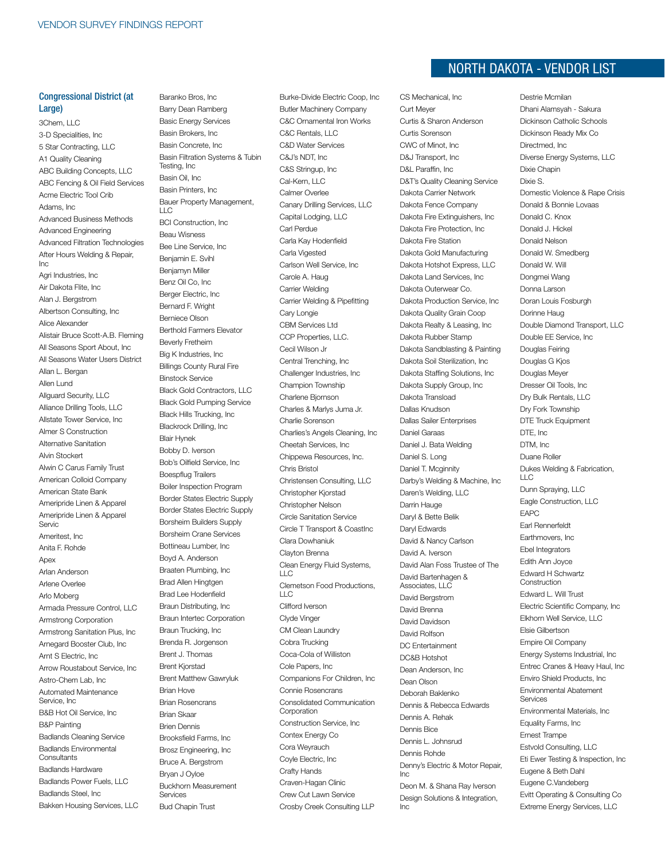#### Congressional District (at Large)

3Chem, LLC 3-D Specialities, Inc 5 Star Contracting, LLC A1 Quality Cleaning ABC Building Concepts, LLC ABC Fencing & Oil Field Services Acme Electric Tool Crib Adams, Inc Advanced Business Methods Advanced Engineering Advanced Filtration Technologies After Hours Welding & Repair, Inc Agri Industries, Inc Air Dakota Flite, Inc Alan J. Bergstrom Albertson Consulting, Inc Alice Alexander Alistair Bruce Scott-A.B. Fleming All Seasons Sport About, Inc All Seasons Water Users District Allan L. Bergan Allen Lund Allguard Security, LLC Alliance Drilling Tools, LLC Allstate Tower Service, Inc Almer S Construction Alternative Sanitation Alvin Stockert Alwin C Carus Family Trust American Colloid Company American State Bank Ameripride Linen & Apparel Ameripride Linen & Apparel Servic Ameritest, Inc. Anita F. Rohde Anex Arlan Anderson Arlene Overlee Arlo Moberg Armada Pressure Control, LLC Armstrong Corporation Armstrong Sanitation Plus, Inc Arnegard Booster Club, Inc Arnt S Electric, Inc Arrow Roustabout Service, Inc Astro-Chem Lab, Inc Automated Maintenance Service, Inc B&B Hot Oil Service, Inc B&P Painting Badlands Cleaning Service Badlands Environmental **Consultants** Badlands Hardware Badlands Power Fuels, LLC Badlands Steel, Inc Bakken Housing Services, LLC

Baranko Bros, Inc Barry Dean Ramberg Basic Energy Services Basin Brokers, Inc Basin Concrete, Inc Basin Filtration Systems & Tubin Testing, Inc Basin Oil, Inc Basin Printers, Inc Bauer Property Management,  $\sqcup$  C BCI Construction, Inc Beau Wisness Bee Line Service, Inc Benjamin E. Svihl Benjamyn Miller Benz Oil Co, Inc Berger Electric, Inc Bernard F. Wright Berniece Olson Berthold Farmers Elevator Beverly Fretheim Big K Industries, Inc Billings County Rural Fire Binstock Service Black Gold Contractors, LLC Black Gold Pumping Service Black Hills Trucking, Inc Blackrock Drilling, Inc Blair Hynek Bobby D. Iverson Bob's Oilfield Service, Inc Boespflug Trailers Boiler Inspection Program Border States Electric Supply Border States Electric Supply Borsheim Builders Supply Borsheim Crane Services Bottineau Lumber, Inc Boyd A. Anderson Braaten Plumbing, Inc Brad Allen Hingtgen Brad Lee Hodenfield Braun Distributing, Inc Braun Intertec Corporation Braun Trucking, Inc Brenda R. Jorgenson Brent J. Thomas Brent Kjorstad Brent Matthew Gawryluk Brian Hove Brian Rosencrans Brian Skaar Brien Dennis Brooksfield Farms, Inc Brosz Engineering, Inc Bruce A. Bergstrom Bryan J Oyloe Buckhorn Measurement Services Bud Chapin Trust

Burke-Divide Electric Coop, Inc Butler Machinery Company C&C Ornamental Iron Works C&C Rentals, LLC C&D Water Services C&J's NDT, Inc C&S Stringup, Inc Cal-Kern, LLC Calmer Overlee Canary Drilling Services, LLC Capital Lodging, LLC Carl Perdue Carla Kay Hodenfield Carla Vigested Carlson Well Service, Inc Carole A. Haug Carrier Welding Carrier Welding & Pipefitting Cary Longie CBM Services Ltd CCP Properties, LLC. Cecil Wilson Jr Central Trenching, Inc Challenger Industries, Inc Champion Township Charlene Bjornson Charles & Marlys Juma Jr. Charlie Sorenson Charlies's Angels Cleaning, Inc Cheetah Services, Inc Chippewa Resources, Inc. Chris Bristol Christensen Consulting, LLC Christopher Kjorstad Christopher Nelson Circle Sanitation Service Circle T Transport & CoastInc Clara Dowhaniuk Clayton Brenna Clean Energy Fluid Systems, LLC Clemetson Food Productions,  $\sqcup$  C Clifford Iverson Clyde Vinger CM Clean Laundry Cobra Trucking Coca-Cola of Williston Cole Papers, Inc Companions For Children, Inc Connie Rosencrans Consolidated Communication **Corporation** Construction Service, Inc Contex Energy Co Cora Weyrauch Coyle Electric, Inc Crafty Hands Craven-Hagan Clinic Crew Cut Lawn Service Crosby Creek Consulting LLP

## $N$ ORTH DAKOTA - VENDOR LIST

CS Mechanical, Inc Curt Meyer Curtis & Sharon Anderson Curtis Sorenson CWC of Minot, Inc D&J Transport, Inc D&L Paraffin, Inc. D&T's Quality Cleaning Service Dakota Carrier Network Dakota Fence Company Dakota Fire Extinguishers, Inc Dakota Fire Protection, Inc Dakota Fire Station Dakota Gold Manufacturing Dakota Hotshot Express, LLC Dakota Land Services, Inc Dakota Outerwear Co. Dakota Production Service, Inc Dakota Quality Grain Coop Dakota Realty & Leasing, Inc Dakota Rubber Stamp Dakota Sandblasting & Painting Dakota Soil Sterilization, Inc Dakota Staffing Solutions, Inc Dakota Supply Group, Inc Dakota Transload Dallas Knudson Dallas Sailer Enterprises Daniel Garaas Daniel J. Bata Welding Daniel S. Long Daniel T. Mcginnity Darby's Welding & Machine, Inc Daren's Welding, LLC Darrin Hauge Daryl & Bette Belik Daryl Edwards David & Nancy Carlson David A. Iverson David Alan Foss Trustee of The David Bartenhagen & Associates, LLC David Bergstrom David Brenna David Davidson David Rolfson DC Entertainment DC&B Hotshot Dean Anderson, Inc Dean Olson Deborah Baklenko Dennis & Rebecca Edwards Dennis A. Rehak Dennis Bice Dennis L. Johnsrud Dennis Rohde Denny's Electric & Motor Repair, Inc Deon M. & Shana Ray Iverson Design Solutions & Integration, Inc

Destrie Mcmilan Dhani Alamsyah - Sakura Dickinson Catholic Schools Dickinson Ready Mix Co Directmed, Inc Diverse Energy Systems, LLC Dixie Chapin Dixie S. Domestic Violence & Rape Crisis Donald & Bonnie Lovaas Donald C. Knox Donald J. Hickel Donald Nelson Donald W. Smedberg Donald W. Will Dongmei Wang Donna Larson Doran Louis Fosburgh Dorinne Haug Double Diamond Transport, LLC Double EE Service, Inc Douglas Feiring Douglas G Kjos Douglas Meyer Dresser Oil Tools, Inc Dry Bulk Rentals, LLC Dry Fork Township DTE Truck Equipment DTE, Inc DTM, Inc Duane Roller Dukes Welding & Fabrication, LLC Dunn Spraying, LLC Eagle Construction, LLC EAPC Earl Rennerfeldt Earthmovers, Inc Ebel Integrators Edith Ann Joyce Edward H Schwartz Construction Edward L. Will Trust Electric Scientific Company, Inc Elkhorn Well Service, LLC Elsie Gilbertson Empire Oil Company Energy Systems Industrial, Inc Entrec Cranes & Heavy Haul, Inc Enviro Shield Products, Inc Environmental Abatement Services Environmental Materials, Inc Equality Farms, Inc Ernest Trampe Estvold Consulting, LLC Eti Ewer Testing & Inspection, Inc Eugene & Beth Dahl Eugene C.Vandeberg Evitt Operating & Consulting Co Extreme Energy Services, LLC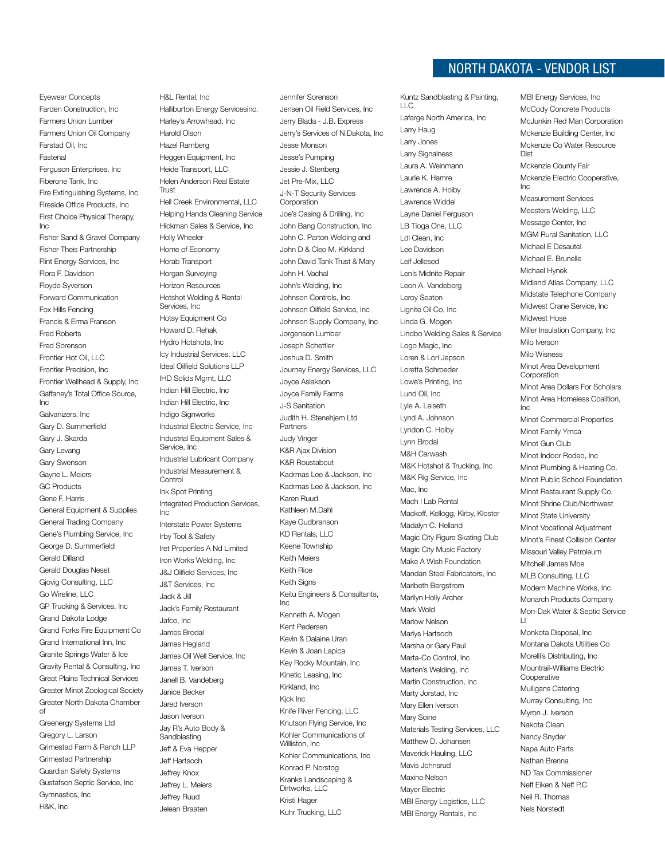Eyewear Concepts Farden Construction, Inc Farmers Union Lumber Farmers Union Oil Company Farstad Oil, Inc Fastenal Ferguson Enterprises, Inc Fiberone Tank, Inc Fire Extinguishing Systems, Inc Fireside Office Products, Inc First Choice Physical Therapy, Inc Fisher Sand & Gravel Company Fisher-Theis Partnership Flint Energy Services, Inc Flora F. Davidson Floyde Syverson Forward Communication Fox Hills Fencing Francis & Erma Franson Fred Roberts Fred Sorenson Frontier Hot Oil, LLC Frontier Precision, Inc Frontier Wellhead & Supply, Inc Gaffaney's Total Office Source, Inc Galvanizers, Inc Gary D. Summerfield Gary J. Skarda Gary Levang Gary Swenson Gayne L. Meiers GC Products Gene F. Harris General Equipment & Supplies General Trading Company Gene's Plumbing Service, Inc George D. Summerfield Gerald Dilland Gerald Douglas Neset Gjovig Consulting, LLC Go Wireline, LLC GP Trucking & Services, Inc Grand Dakota Lodge Grand Forks Fire Equipment Co Grand International Inn, Inc Granite Springs Water & Ice Gravity Rental & Consulting, Inc Great Plains Technical Services Greater Minot Zoological Society Greater North Dakota Chamber of Greenergy Systems Ltd Gregory L. Larson Grimestad Farm & Ranch LLP Grimestad Partnership

Guardian Safety Systems Gustafson Septic Service, Inc

Gymnastics, Inc H&K, Inc

Halliburton Energy Servicesinc. Harley's Arrowhead, Inc Harold Olson Hazel Ramberg Heggen Equipment, Inc Heide Transport, LLC Helen Anderson Real Estate **Trust** Hell Creek Environmental, LLC Helping Hands Cleaning Service Hickman Sales & Service, Inc Holly Wheeler Home of Economy Horab Transport Horgan Surveying Horizon Resources Hotshot Welding & Rental Services, Inc Hotsy Equipment Co Howard D. Rehak Hydro Hotshots, Inc Icy Industrial Services, LLC Ideal Oilfield Solutions LLP IHD Solids Mgmt, LLC Indian Hill Electric, Inc Indian Hill Electric, Inc Indigo Signworks Industrial Electric Service, Inc Industrial Equipment Sales & Service, Inc Industrial Lubricant Company Industrial Measurement & **Control** Ink Spot Printing Integrated Production Services, Inc Interstate Power Systems Irby Tool & Safety Iret Properties A Nd Limited Iron Works Welding, Inc J&J Oilfield Services, Inc J&T Services, Inc Jack & Jill Jack's Family Restaurant Jafco, Inc James Brodal James Hegland James Oil Well Service, Inc James T. Iverson Janell B. Vandeberg Janice Becker Jared Iverson Jason Iverson Jay R's Auto Body & Sandblasting Jeff & Eva Hepper Jeff Hartsoch Jeffrey Knox Jeffrey L. Meiers Jeffrey Ruud Jelean Braaten

H&L Rental, Inc

Jennifer Sorenson Jensen Oil Field Services, Inc Jerry Blada - J.B. Express Jerry's Services of N.Dakota, Inc Jesse Monson Jesse's Pumping Jessie J. Stenberg Jet Pre-Mix, LLC J-N-T Security Services Corporation Joe's Casing & Drilling, Inc John Bang Construction, Inc John C. Parton Welding and John D & Cleo M. Kirkland John David Tank Trust & Mary John H. Vachal John's Welding, Inc Johnson Controls, Inc Johnson Oilfield Service, Inc Johnson Supply Company, Inc Jorgenson Lumber Joseph Schettler Joshua D. Smith Journey Energy Services, LLC Joyce Aslakson Joyce Family Farms J-S Sanitation Judith H. Stenehjem Ltd Partners Judy Vinger K&R Ajax Division K&R Roustabout Kadrmas Lee & Jackson, Inc Kadrmas Lee & Jackson, Inc Karen Ruud Kathleen M.Dahl Kaye Gudbranson KD Rentals, LLC Keene Township Keith Meiers Keith Rice Keith Signs Keitu Engineers & Consultants, Inc Kenneth A. Mogen Kent Pedersen Kevin & Dalaine Uran Kevin & Joan Lapica Key Rocky Mountain, Inc Kinetic Leasing, Inc Kirkland, Inc Kjck Inc Knife River Fencing, LLC Knutson Flying Service, Inc Kohler Communications of Williston, Inc Kohler Communications, Inc Konrad P. Norstog Kranks Landscaping & Dirtworks, LLC Kristi Hager Kuhr Trucking, LLC

#### North Dakota - VENDOR LIST

Kuntz Sandblasting & Painting,  $\sqcup$  C Lafarge North America, Inc Larry Haug Larry Jones Larry Signalness Laura A. Weinmann Laurie K. Hamre Lawrence A. Hoiby Lawrence Widdel Layne Daniel Ferguson LB Tioga One, LLC Ldl Clean, Inc Lee Davidson Leif Jellesed Len's Midnite Repair Leon A. Vandeberg Leroy Seaton Lignite Oil Co, Inc Linda G. Mogen Lindbo Welding Sales & Service Logo Magic, Inc Loren & Lori Jepson Loretta Schroeder Lowe's Printing, Inc Lund Oil, Inc Lyle A. Leiseth Lynd A. Johnson Lyndon C. Hoiby Lynn Brodal M&H Carwash M&K Hotshot & Trucking, Inc M&K Rig Service, Inc Mac, Inc Mach I Lab Rental Mackoff, Kellogg, Kirby, Kloster Madalyn C. Helland Magic City Figure Skating Club Magic City Music Factory Make A Wish Foundation Mandan Steel Fabricators, Inc Maribeth Bergstrom Marilyn Holly Archer Mark Wold Marlow Nelson Marlys Hartsoch Marsha or Gary Paul Marta-Co Control, Inc Marten's Welding, Inc Martin Construction, Inc Marty Jorstad, Inc Mary Ellen Iverson Mary Soine Materials Testing Services, LLC Matthew D. Johansen Maverick Hauling, LLC Mavis Johnsrud Maxine Nelson Mayer Electric MBI Energy Logistics, LLC MBI Energy Rentals, Inc

MBI Energy Services, Inc McCody Concrete Products McJunkin Red Man Corporation Mckenzie Building Center, Inc Mckenzie Co Water Resource Diet Mckenzie County Fair Mckenzie Electric Cooperative, Inc Measurement Services Meesters Welding, LLC Message Center, Inc MGM Rural Sanitation, LLC Michael E Desautel Michael E. Brunelle Michael Hynek Midland Atlas Company, LLC Midstate Telephone Company Midwest Crane Service, Inc Midwest Hose Miller Insulation Company, Inc Milo Iverson Milo Wienees Minot Area Development Corporation Minot Area Dollars For Scholars Minot Area Homeless Coalition, Inc Minot Commercial Properties Minot Family Ymca Minot Gun Club Minot Indoor Rodeo, Inc Minot Plumbing & Heating Co. Minot Public School Foundation Minot Restaurant Supply Co. Minot Shrine Club/Northwest Minot State University Minot Vocational Adjustment Minot's Finest Collision Center Missouri Valley Petroleum Mitchell James Moe MLB Consulting, LLC Modern Machine Works, Inc Monarch Products Company Mon-Dak Water & Septic Service Ll Monkota Disposal, Inc Montana Dakota Utilities Co Morelli's Distributing, Inc Mountrail-Williams Electric Cooperative Mulligans Catering Murray Consulting, Inc Myron J. Iverson Nakota Clean Nancy Snyder Napa Auto Parts Nathan Brenna ND Tax Commissioner Neff Eiken & Neff P.C

Neil R. Thomas Nels Norstedt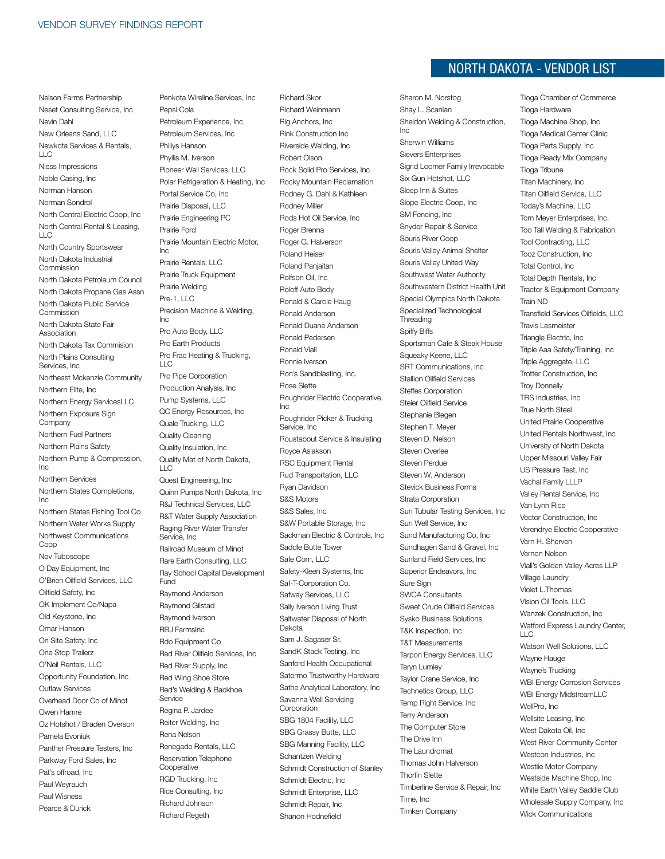Nelson Farms Partnership Neset Consulting Service, Inc Nevin Dahl New Orleans Sand, LLC Newkota Services & Rentals,  $\sqcup$  C Niess Impressions Noble Casing, Inc Norman Hanson Norman Sondrol North Central Electric Coop, Inc North Central Rental & Leasing, LLC North Country Sportswear North Dakota Industrial Commission North Dakota Petroleum Council North Dakota Propane Gas Assn North Dakota Public Service Commission North Dakota State Fair Association North Dakota Tax Commision North Plains Consulting Services, Inc Northeast Mckenzie Community Northern Elite, Inc Northern Energy ServicesLLC Northern Exposure Sign **Company** Northern Fuel Partners Northern Plains Safety Northern Pump & Compression, Inc Northern Services Northern States Completions, Inc Northern States Fishing Tool Co Northern Water Works Supply Northwest Communications Coop Nov Tuboscope O Day Equipment, Inc O'Brien Oilfield Services, LLC Oilfield Safety, Inc OK Implement Co/Napa Old Keystone, Inc Omar Hanson On Site Safety, Inc One Stop Trailerz O'Neil Rentals, LLC Opportunity Foundation, Inc Outlaw Services Overhead Door Co of Minot Owen Hamre Oz Hotshot / Braden Overson Pamela Evoniuk Panther Pressure Testers, Inc Parkway Ford Sales, Inc Pat's offroad, Inc Paul Weyrauch Paul Wisness Pearce & Durick

Penkota Wireline Services, Inc Pepsi Cola Petroleum Experience, Inc Petroleum Services, Inc Phillys Hanson Phyllis M. Iverson Pioneer Well Services, LLC Polar Refrigeration & Heating, Inc Portal Service Co, Inc Prairie Disposal, LLC Prairie Engineering PC Prairie Ford Prairie Mountain Electric Motor,  $Inc$ Prairie Rentals, LLC Prairie Truck Equipment Prairie Welding  $Pre-1, ILC$ Precision Machine & Welding, Inc Pro Auto Body, LLC Pro Earth Products Pro Frac Heating & Trucking,  $\sqcup$  C Pro Pipe Corporation Production Analysis, Inc Pump Systems, LLC QC Energy Resources, Inc Quale Trucking, LLC Quality Cleaning Quality Insulation, Inc Quality Mat of North Dakota,  $\sqcup$  C Quest Engineering, Inc Quinn Pumps North Dakota, Inc R&J Technical Services, LLC R&T Water Supply Association Raging River Water Transfer Service, Inc Railroad Museum of Minot Rare Earth Consulting, LLC Ray School Capital Development Fund Raymond Anderson Raymond Gilstad Raymond Iverson RBJ FarmsInc Rdo Equipment Co Red River Oilfield Services, Inc Red River Supply, Inc Red Wing Shoe Store Red's Welding & Backhoe **Service** Regina P. Jardee Reiter Welding, Inc Rena Nelson Renegade Rentals, LLC Reservation Telephone **Cooperative** RGD Trucking, Inc Rice Consulting, Inc Richard Johnson Richard Regeth

Richard Skor Richard Weinmann Rig Anchors, Inc Rink Construction Inc Riverside Welding, Inc Robert Olson Rock Solid Pro Services, Inc Rocky Mountain Reclamation Rodney G. Dahl & Kathleen Rodney Miller Rods Hot Oil Service, Inc Roger Brenna Roger G. Halverson Roland Heiser Roland Panjaitan Rolfson Oil, Inc Roloff Auto Body Ronald & Carole Haug Ronald Anderson Ronald Duane Anderson Ronald Pedersen Ronald Viall Ronnie Iverson Ron's Sandblasting, Inc. Rose Slette Roughrider Electric Cooperative, Inc Roughrider Picker & Trucking Service, Inc Roustabout Service & Insulating Royce Aslakson RSC Equipment Rental Rud Transportation, LLC Ryan Davidson S&S Motors S&S Sales, Inc S&W Portable Storage, Inc Sackman Electric & Controls, Inc Saddle Butte Tower Safe Com, LLC Safety-Kleen Systems, Inc Saf-T-Corporation Co. Safway Services, LLC Sally Iverson Living Trust Saltwater Disposal of North Dakota Sam J. Sagaser Sr. SandK Stack Testing, Inc Sanford Health Occupational Satermo Trustworthy Hardware Sathe Analytical Laboratory, Inc Savanna Well Servicing Corporation SBG 1804 Facility, LLC SBG Grassy Butte, LLC SBG Manning Facility, LLC Schantzen Welding Schmidt Construction of Stanley Schmidt Electric, Inc Schmidt Enterprise, LLC Schmidt Repair, Inc Shanon Hodnefield

#### North Dakota - VENDOR LIST

Sharon M. Norstog Shay L. Scanlan Sheldon Welding & Construction, Inc Sherwin Williams Sievers Enterprises Sigrid Loomer Family Irrevocable Six Gun Hotshot, LLC Sleep Inn & Suites Slope Electric Coop, Inc SM Fencing, Inc Snyder Repair & Service Souris River Coop Souris Valley Animal Shelter Souris Valley United Way Southwest Water Authority Southwestern District Health Unit Special Olympics North Dakota Specialized Technological **Threading** Spiffy Biffs Sportsman Cafe & Steak House Squeaky Keene, LLC SRT Communications, Inc Stallion Oilfield Services Steffes Corporation Steier Oilfield Service Stephanie Blegen Stephen T. Meyer Steven D. Nelson Steven Overlee Steven Perdue Steven W. Anderson Stevick Business Forms Strata Corporation Sun Tubular Testing Services, Inc Sun Well Service, Inc Sund Manufacturing Co, Inc Sundhagen Sand & Gravel, Inc Sunland Field Services, Inc Superior Endeavors, Inc. Sure Sign SWCA Consultants Sweet Crude Oilfield Services Sysko Business Solutions T&K Inspection, Inc T&T Measurements Tarpon Energy Services, LLC Taryn Lumley Taylor Crane Service, Inc Technetics Group, LLC Temp Right Service, Inc Terry Anderson The Computer Store The Drive Inn The Laundromat Thomas John Halverson Thorfin Slette Timberline Service & Repair, Inc Time, Inc Timken Company

Tioga Chamber of Commerce Tioga Hardware Tioga Machine Shop, Inc Tioga Medical Center Clinic Tioga Parts Supply, Inc Tioga Ready Mix Company Tioga Tribune Titan Machinery, Inc Titan Oilfield Service, LLC Today's Machine, LLC Tom Meyer Enterprises, Inc. Too Tall Welding & Fabrication Tool Contracting, LLC Tooz Construction, Inc Total Control, Inc Total Depth Rentals, Inc Tractor & Equipment Company Train ND Transfield Services Oilfields, LLC Travis Lesmeister Triangle Electric, Inc Triple Aaa Safety/Training, Inc Triple Aggregate, LLC Trotter Construction, Inc Troy Donnelly TRS Industries, Inc True North Steel United Prairie Cooperative United Rentals Northwest, Inc University of North Dakota Upper Missouri Valley Fair US Pressure Test, Inc Vachal Family LLLP Valley Rental Service, Inc Van Lynn Rice Vector Construction, Inc Verendrye Electric Cooperative Vern H. Sherven Vernon Nelson Viall's Golden Valley Acres LLP Village Laundry Violet L.Thomas Vision Oil Tools, LLC Wanzek Construction, Inc Watford Express Laundry Center,  $\sqcup$  C Watson Well Solutions, LLC Wayne Hauge Wayne's Trucking WBI Energy Corrosion Services WBI Energy MidstreamLLC WellPro, Inc Wellsite Leasing, Inc West Dakota Oil, Inc West River Community Center Westcon Industries, Inc. Westlie Motor Company Westside Machine Shop, Inc White Earth Valley Saddle Club Wholesale Supply Company, Inc Wick Communications